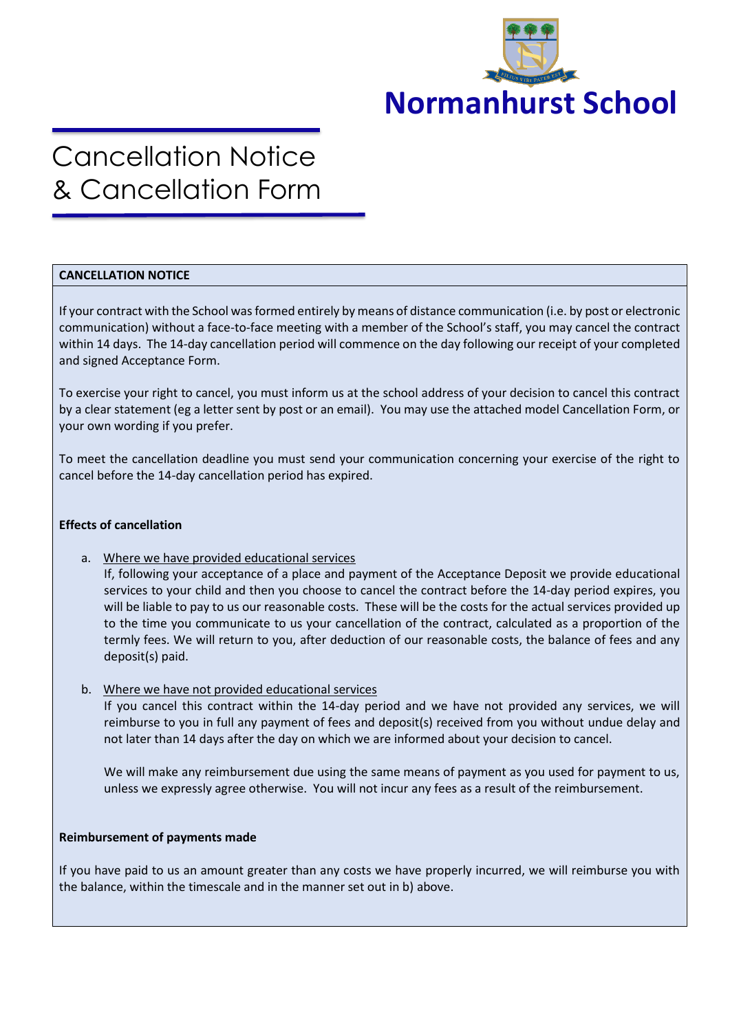

# Cancellation Notice & Cancellation Form

## **CANCELLATION NOTICE**

If your contract with the School was formed entirely by means of distance communication (i.e. by post or electronic communication) without a face-to-face meeting with a member of the School's staff, you may cancel the contract within 14 days. The 14-day cancellation period will commence on the day following our receipt of your completed and signed Acceptance Form.

To exercise your right to cancel, you must inform us at the school address of your decision to cancel this contract by a clear statement (eg a letter sent by post or an email). You may use the attached model Cancellation Form, or your own wording if you prefer.

To meet the cancellation deadline you must send your communication concerning your exercise of the right to cancel before the 14-day cancellation period has expired.

### **Effects of cancellation**

a. Where we have provided educational services

If, following your acceptance of a place and payment of the Acceptance Deposit we provide educational services to your child and then you choose to cancel the contract before the 14-day period expires, you will be liable to pay to us our reasonable costs. These will be the costs for the actual services provided up to the time you communicate to us your cancellation of the contract, calculated as a proportion of the termly fees. We will return to you, after deduction of our reasonable costs, the balance of fees and any deposit(s) paid.

b. Where we have not provided educational services

If you cancel this contract within the 14-day period and we have not provided any services, we will reimburse to you in full any payment of fees and deposit(s) received from you without undue delay and not later than 14 days after the day on which we are informed about your decision to cancel.

We will make any reimbursement due using the same means of payment as you used for payment to us, unless we expressly agree otherwise. You will not incur any fees as a result of the reimbursement.

### **Reimbursement of payments made**

If you have paid to us an amount greater than any costs we have properly incurred, we will reimburse you with the balance, within the timescale and in the manner set out in b) above.